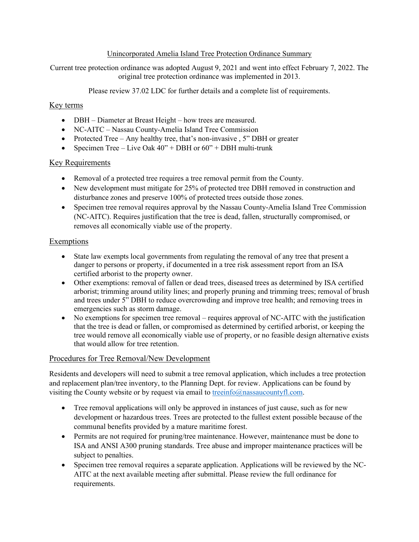### Unincorporated Amelia Island Tree Protection Ordinance Summary

Current tree protection ordinance was adopted August 9, 2021 and went into effect February 7, 2022. The original tree protection ordinance was implemented in 2013.

Please review 37.02 LDC for further details and a complete list of requirements.

## Key terms

- DBH Diameter at Breast Height how trees are measured.
- NC-AITC Nassau County-Amelia Island Tree Commission
- Protected Tree Any healthy tree, that's non-invasive, 5" DBH or greater
- Specimen Tree Live Oak  $40''$  + DBH or  $60''$  + DBH multi-trunk

## Key Requirements

- Removal of a protected tree requires a tree removal permit from the County.
- New development must mitigate for 25% of protected tree DBH removed in construction and disturbance zones and preserve 100% of protected trees outside those zones.
- Specimen tree removal requires approval by the Nassau County-Amelia Island Tree Commission (NC-AITC). Requires justification that the tree is dead, fallen, structurally compromised, or removes all economically viable use of the property.

## Exemptions

- State law exempts local governments from regulating the removal of any tree that present a danger to persons or property, if documented in a tree risk assessment report from an ISA certified arborist to the property owner.
- Other exemptions: removal of fallen or dead trees, diseased trees as determined by ISA certified arborist; trimming around utility lines; and properly pruning and trimming trees; removal of brush and trees under 5" DBH to reduce overcrowding and improve tree health; and removing trees in emergencies such as storm damage.
- No exemptions for specimen tree removal requires approval of NC-AITC with the justification that the tree is dead or fallen, or compromised as determined by certified arborist, or keeping the tree would remove all economically viable use of property, or no feasible design alternative exists that would allow for tree retention.

# Procedures for Tree Removal/New Development

Residents and developers will need to submit a tree removal application, which includes a tree protection and replacement plan/tree inventory, to the Planning Dept. for review. Applications can be found by visiting the County website or by request via email to [treeinfo@nassaucountyfl.com.](mailto:treeinfo@nassaucountyfl.com)

- Tree removal applications will only be approved in instances of just cause, such as for new development or hazardous trees. Trees are protected to the fullest extent possible because of the communal benefits provided by a mature maritime forest.
- Permits are not required for pruning/tree maintenance. However, maintenance must be done to ISA and ANSI A300 pruning standards. Tree abuse and improper maintenance practices will be subject to penalties.
- Specimen tree removal requires a separate application. Applications will be reviewed by the NC-AITC at the next available meeting after submittal. Please review the full ordinance for requirements.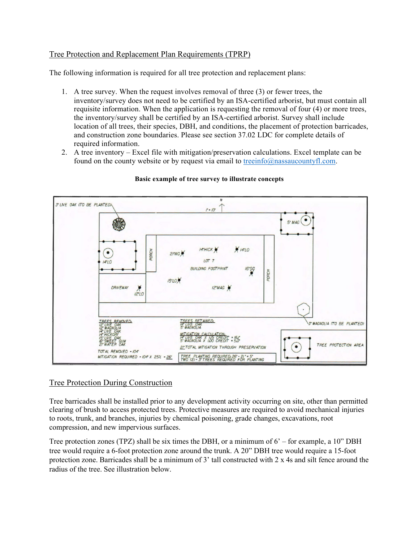## Tree Protection and Replacement Plan Requirements (TPRP)

The following information is required for all tree protection and replacement plans:

- 1. A tree survey. When the request involves removal of three (3) or fewer trees, the inventory/survey does not need to be certified by an ISA-certified arborist, but must contain all requisite information. When the application is requesting the removal of four (4) or more trees, the inventory/survey shall be certified by an ISA-certified arborist. Survey shall include location of all trees, their species, DBH, and conditions, the placement of protection barricades, and construction zone boundaries. Please see section 37.02 LDC for complete details of required information.
- 2. A tree inventory Excel file with mitigation/preservation calculations. Excel template can be found on the county website or by request via email to [treeinfo@nassaucountyfl.com.](mailto:treeinfo@nassaucountyfl.com)



#### **Basic example of tree survey to illustrate concepts**

### Tree Protection During Construction

Tree barricades shall be installed prior to any development activity occurring on site, other than permitted clearing of brush to access protected trees. Protective measures are required to avoid mechanical injuries to roots, trunk, and branches, injuries by chemical poisoning, grade changes, excavations, root compression, and new impervious surfaces.

Tree protection zones (TPZ) shall be six times the DBH, or a minimum of 6' – for example, a 10" DBH tree would require a 6-foot protection zone around the trunk. A 20" DBH tree would require a 15-foot protection zone. Barricades shall be a minimum of 3' tall constructed with 2 x 4s and silt fence around the radius of the tree. See illustration below.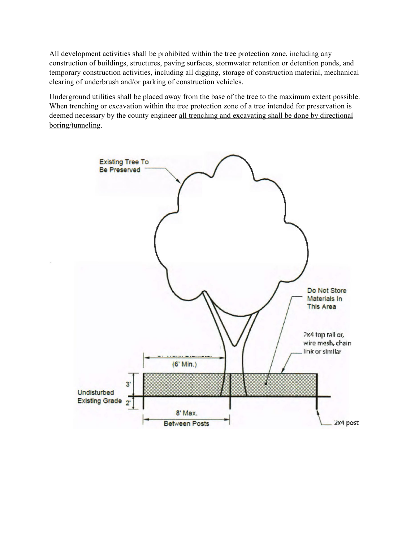All development activities shall be prohibited within the tree protection zone, including any construction of buildings, structures, paving surfaces, stormwater retention or detention ponds, and temporary construction activities, including all digging, storage of construction material, mechanical clearing of underbrush and/or parking of construction vehicles.

Underground utilities shall be placed away from the base of the tree to the maximum extent possible. When trenching or excavation within the tree protection zone of a tree intended for preservation is deemed necessary by the county engineer all trenching and excavating shall be done by directional boring/tunneling.

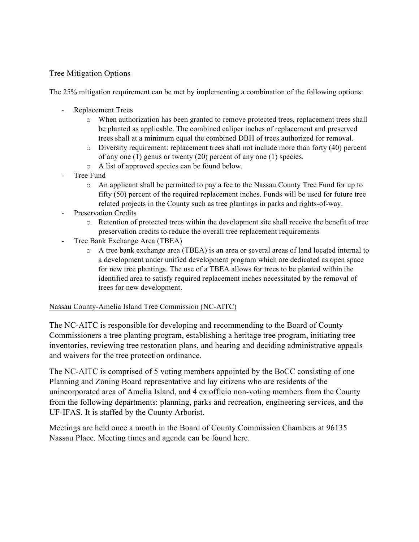# Tree Mitigation Options

The 25% mitigation requirement can be met by implementing a combination of the following options:

- Replacement Trees
	- o When authorization has been granted to remove protected trees, replacement trees shall be planted as applicable. The combined caliper inches of replacement and preserved trees shall at a minimum equal the combined DBH of trees authorized for removal.
	- $\circ$  Diversity requirement: replacement trees shall not include more than forty (40) percent of any one (1) genus or twenty (20) percent of any one (1) species.
	- o A list of approved species can be found below.
- Tree Fund
	- o An applicant shall be permitted to pay a fee to the Nassau County Tree Fund for up to fifty (50) percent of the required replacement inches. Funds will be used for future tree related projects in the County such as tree plantings in parks and rights-of-way.
- Preservation Credits
	- o Retention of protected trees within the development site shall receive the benefit of tree preservation credits to reduce the overall tree replacement requirements
- Tree Bank Exchange Area (TBEA)
	- o A tree bank exchange area (TBEA) is an area or several areas of land located internal to a development under unified development program which are dedicated as open space for new tree plantings. The use of a TBEA allows for trees to be planted within the identified area to satisfy required replacement inches necessitated by the removal of trees for new development.

### Nassau County-Amelia Island Tree Commission (NC-AITC)

The NC-AITC is responsible for developing and recommending to the Board of County Commissioners a tree planting program, establishing a heritage tree program, initiating tree inventories, reviewing tree restoration plans, and hearing and deciding administrative appeals and waivers for the tree protection ordinance.

The NC-AITC is comprised of 5 voting members appointed by the BoCC consisting of one Planning and Zoning Board representative and lay citizens who are residents of the unincorporated area of Amelia Island, and 4 ex officio non-voting members from the County from the following departments: planning, parks and recreation, engineering services, and the UF-IFAS. It is staffed by the County Arborist.

Meetings are held once a month in the Board of County Commission Chambers at 96135 Nassau Place. Meeting times and agenda can be found here.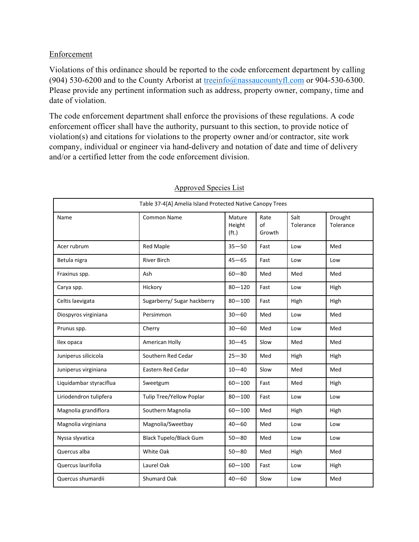# **Enforcement**

Violations of this ordinance should be reported to the code enforcement department by calling (904) 530-6200 and to the County Arborist at [treeinfo@nassaucountyfl.com](mailto:treeinfo@nassaucountyfl.com) or 904-530-6300. Please provide any pertinent information such as address, property owner, company, time and date of violation.

The code enforcement department shall enforce the provisions of these regulations. A code enforcement officer shall have the authority, pursuant to this section, to provide notice of violation(s) and citations for violations to the property owner and/or contractor, site work company, individual or engineer via hand-delivery and notation of date and time of delivery and/or a certified letter from the code enforcement division.

| Table 37-4[A] Amelia Island Protected Native Canopy Trees |                               |                                       |                      |                   |                      |  |
|-----------------------------------------------------------|-------------------------------|---------------------------------------|----------------------|-------------------|----------------------|--|
| Name                                                      | <b>Common Name</b>            | Mature<br>Height<br>(f <sub>t</sub> ) | Rate<br>of<br>Growth | Salt<br>Tolerance | Drought<br>Tolerance |  |
| Acer rubrum                                               | <b>Red Maple</b>              | $35 - 50$                             | Fast                 | Low               | Med                  |  |
| Betula nigra                                              | <b>River Birch</b>            | $45 - 65$                             | Fast                 | Low               | Low                  |  |
| Fraxinus spp.                                             | Ash                           | $60 - 80$                             | Med                  | Med               | Med                  |  |
| Carya spp.                                                | Hickory                       | $80 - 120$                            | Fast                 | Low               | High                 |  |
| Celtis laevigata                                          | Sugarberry/ Sugar hackberry   | $80 - 100$                            | Fast                 | High              | High                 |  |
| Diospyros virginiana                                      | Persimmon                     | $30 - 60$                             | Med                  | Low               | Med                  |  |
| Prunus spp.                                               | Cherry                        | $30 - 60$                             | Med                  | Low               | Med                  |  |
| Ilex opaca                                                | American Holly                | $30 - 45$                             | Slow                 | Med               | Med                  |  |
| Juniperus silicicola                                      | Southern Red Cedar            | $25 - 30$                             | Med                  | High              | High                 |  |
| Juniperus virginiana                                      | <b>Eastern Red Cedar</b>      | $10 - 40$                             | Slow                 | Med               | Med                  |  |
| Liquidambar styraciflua                                   | Sweetgum                      | $60 - 100$                            | Fast                 | Med               | High                 |  |
| Liriodendron tulipfera                                    | Tulip Tree/Yellow Poplar      | $80 - 100$                            | Fast                 | Low               | Low                  |  |
| Magnolia grandiflora                                      | Southern Magnolia             | $60 - 100$                            | Med                  | High              | High                 |  |
| Magnolia virginiana                                       | Magnolia/Sweetbay             | $40 - 60$                             | Med                  | Low               | Low                  |  |
| Nyssa slyvatica                                           | <b>Black Tupelo/Black Gum</b> | $50 - 80$                             | Med                  | Low               | Low                  |  |
| Quercus alba                                              | White Oak                     | $50 - 80$                             | Med                  | High              | Med                  |  |
| Quercus laurifolia                                        | Laurel Oak                    | $60 - 100$                            | Fast                 | Low               | High                 |  |
| Quercus shumardii                                         | <b>Shumard Oak</b>            | $40 - 60$                             | Slow                 | Low               | Med                  |  |

### Approved Species List